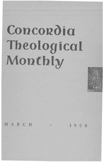## Concordia Theological Monthly



MARCH

 $1950$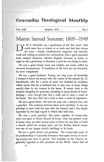## Concordia Theological Monthly

| л<br>п. | $\lambda$ |
|---------|-----------|
|---------|-----------|

## **MARCH 1950 NO.3**

## **Martin Samuel Sommer, 1869-1949**

R. M. S. SOMMER was a gentleman of the first water. One could meet him at leisure or at work and find him always the same - kindly, wholehearted, congenial, and cheerful; ready and willing to enliven the conversation with a good quotation from classical literature, whether English, German, or Latin; or eager to tell a good story to illustrate a point he was trying to make.

He was a good friend, loyal and reliable, not easily ruffled by outward circumstances. If conditions of life were not too favorable, he never complained.

He was a good husband. During our long years of friendship I learned to know his second wife, the widow of the sainted Dr. G. Stoeckhardt, who for a series of years was disabled by accidents, which meant that he as husband had to take care of many things usually done by the woman in the home. **It** meant visits to the hospital, shopping for groceries, attending to many details of housekeeping - even though they had a cook and at times a nurse in the home. Not once did I see a look or hear a word of impatience.

He was a good father. He had two sons, one a literary man, one a preacher. The relations between them were excellent. It was my privilege to meet with the sons after the funeral, and I was deeply impressed by the high regard in which they held him.

He was a good preacher. His entire ministry of twenty-nine years was spent in Grace Church, St.Louis. That was pioneer work in many ways, yet after twenty years at Grace he was able to build a church which for seating space and for Sunday School rooms was one of our largest church buildings in St. Louis.

He was a good scholar and professor. The twenty-nine years of his professorship at Concordia Seminary were spent mostly in teaching young men how to preach. Our ministers in the Church are generally regarded as able preachers of the Word. About half of

11